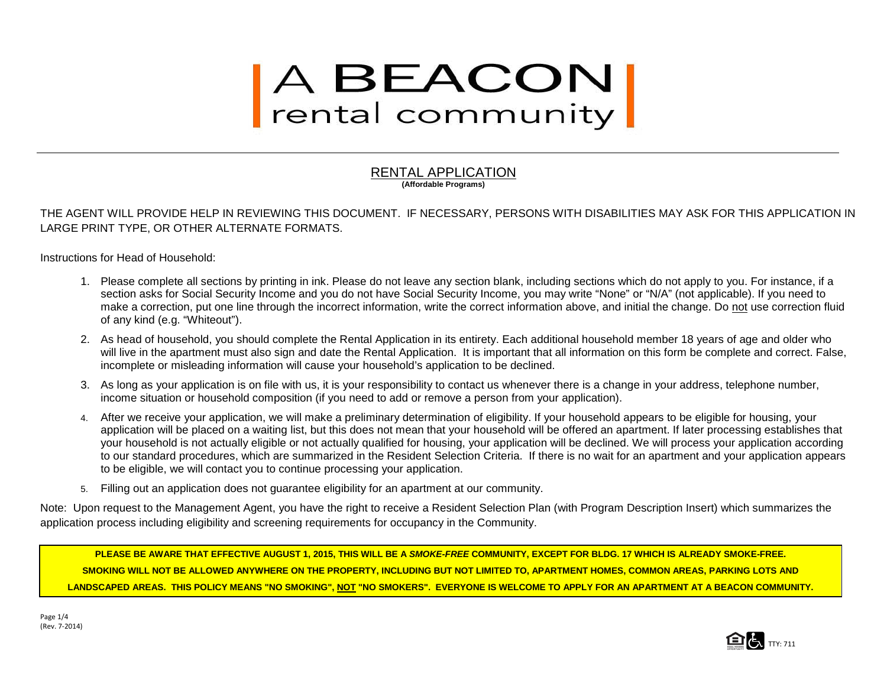# A BEACON<br>rental community

#### RENTAL APPLICATION **(Affordable Programs)**

THE AGENT WILL PROVIDE HELP IN REVIEWING THIS DOCUMENT. IF NECESSARY, PERSONS WITH DISABILITIES MAY ASK FOR THIS APPLICATION IN LARGE PRINT TYPE, OR OTHER ALTERNATE FORMATS.

Instructions for Head of Household:

- 1. Please complete all sections by printing in ink. Please do not leave any section blank, including sections which do not apply to you. For instance, if a section asks for Social Security Income and you do not have Social Security Income, you may write "None" or "N/A" (not applicable). If you need to make a correction, put one line through the incorrect information, write the correct information above, and initial the change. Do not use correction fluid of any kind (e.g. "Whiteout").
- 2. As head of household, you should complete the Rental Application in its entirety. Each additional household member 18 years of age and older who will live in the apartment must also sign and date the Rental Application. It is important that all information on this form be complete and correct. False, incomplete or misleading information will cause your household's application to be declined.
- 3. As long as your application is on file with us, it is your responsibility to contact us whenever there is a change in your address, telephone number, income situation or household composition (if you need to add or remove a person from your application).
- 4. After we receive your application, we will make a preliminary determination of eligibility. If your household appears to be eligible for housing, your application will be placed on a waiting list, but this does not mean that your household will be offered an apartment. If later processing establishes that your household is not actually eligible or not actually qualified for housing, your application will be declined. We will process your application according to our standard procedures, which are summarized in the Resident Selection Criteria. If there is no wait for an apartment and your application appears to be eligible, we will contact you to continue processing your application.
- 5. Filling out an application does not guarantee eligibility for an apartment at our community.

Note: Upon request to the Management Agent, you have the right to receive a Resident Selection Plan (with Program Description Insert) which summarizes the application process including eligibility and screening requirements for occupancy in the Community.

**PLEASE BE AWARE THAT EFFECTIVE AUGUST 1, 2015, THIS WILL BE A** *SMOKE-FREE* **COMMUNITY, EXCEPT FOR BLDG. 17 WHICH IS ALREADY SMOKE-FREE. SMOKING WILL NOT BE ALLOWED ANYWHERE ON THE PROPERTY, INCLUDING BUT NOT LIMITED TO, APARTMENT HOMES, COMMON AREAS, PARKING LOTS AND LANDSCAPED AREAS. THIS POLICY MEANS "NO SMOKING", NOT "NO SMOKERS". EVERYONE IS WELCOME TO APPLY FOR AN APARTMENT AT A BEACON COMMUNITY.**

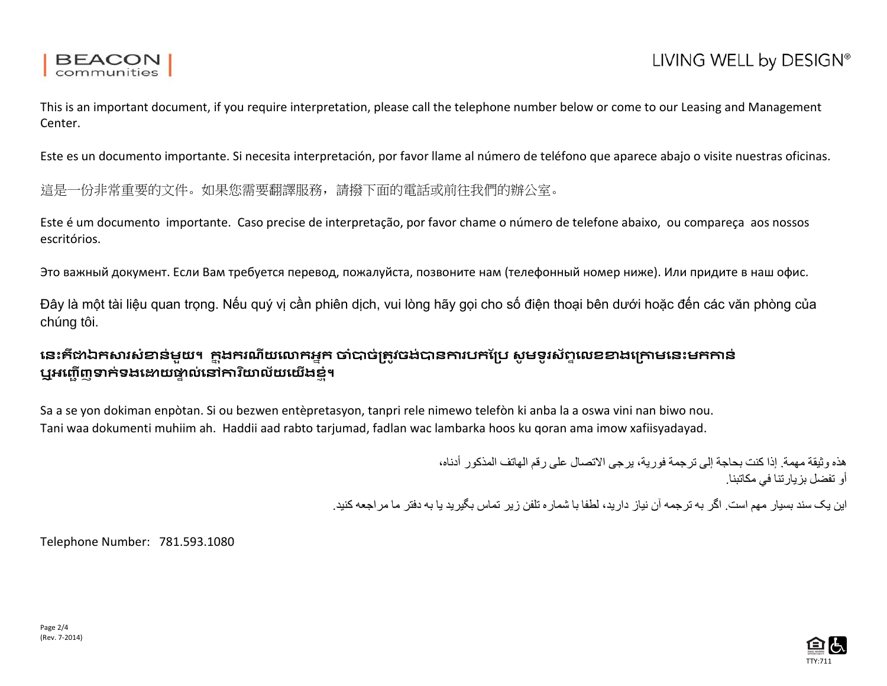

This is an important document, if you require interpretation, please call the telephone number below or come to our Leasing and Management Center.

Este es un documento importante. Si necesita interpretación, por favor llame al número de teléfono que aparece abajo o visite nuestras oficinas.

這是一份非常重要的文件。如果您需要翻譯服務,請撥下面的電話或前往我們的辦公室。

Este é um documento importante. Caso precise de interpretação, por favor chame o número de telefone abaixo, ou compareça aos nossos escritórios.

Это важный документ. Если Вам требуется перевод, пожалуйста, позвоните нам (телефонный номер ниже). Или придите в наш офис.

Đây là một tài liệu quan trọng. Nếu quý vị cần phiên dịch, vui lòng hãy gọi cho số điện thoại bên dưới hoặc đến các văn phòng của chúng tôi.

## **េនះគឺ�ឯក�រសំ�ន់មួយ។ ក� �ងករណីយេ�កអ�ក �ំ�ច់្រត�វចង់�ន�របកែ្រប សូ មទូ រស័ព� េលខ�ងេ្រ�មេនះមក�ន់ ឬអញ្ជើញទាក់ទង**ឌោយផ្ទាល់នៅការិយាល័យយើងខំ។

Sa a se yon dokiman enpòtan. Si ou bezwen entèpretasyon, tanpri rele nimewo telefòn ki anba la a oswa vini nan biwo nou. Tani waa dokumenti muhiim ah. Haddii aad rabto tarjumad, fadlan wac lambarka hoos ku qoran ama imow xafiisyadayad.

> ھذه وثیقة مھمة. إذا كنت بحاجة إلى ترجمة فوریة، یرجى الاتصال على رقم الھاتف المذكور أدناه، أو تفضل بزیارتنا في مكاتبنا.

این یک سند بسیار مھم است. اگر بھ ترجمھ آن نیاز دارید، لطفا با شماره تلفن زیر تماس بگیرید یا بھ دفتر ما مراجعھ کنید.

Telephone Number: 781.593.1080

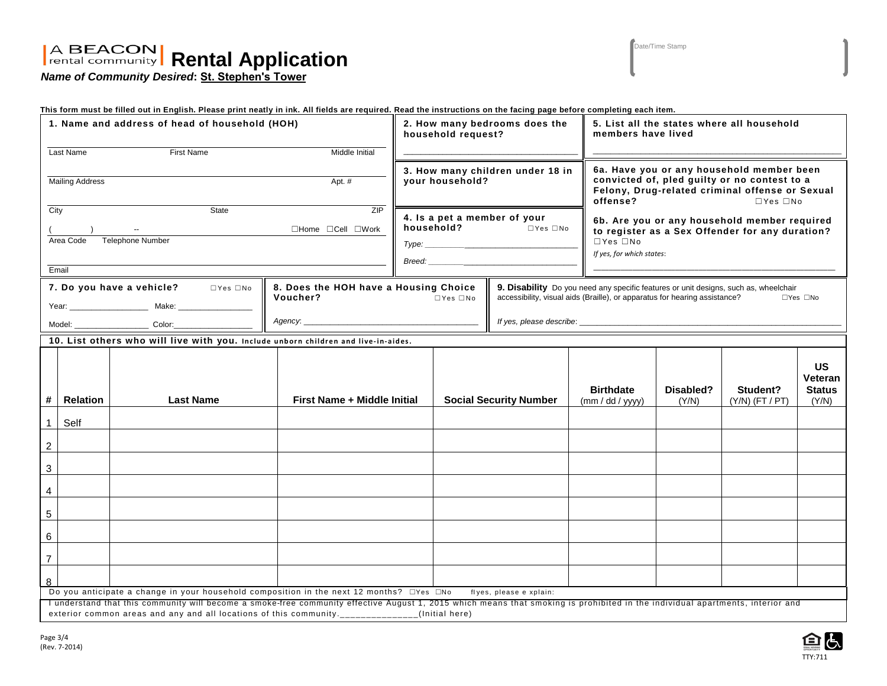# **Rental Application**

*Name of Community Desired***: St. Stephen's Tower**

This form must be filled out in English. Please print neatly in ink. All fields are required. Read the instructions on the facing page before completing each item.

| 1. Name and address of head of household (HOH)                                                                                  |                                                                                                                                                                                                                                                                                 |                                                                                    |                             |                                                     | 2. How many bedrooms does the<br>household request? |                      |                                     | 5. List all the states where all household<br>members have lived                                                                                                                           |                               |                                                |  |
|---------------------------------------------------------------------------------------------------------------------------------|---------------------------------------------------------------------------------------------------------------------------------------------------------------------------------------------------------------------------------------------------------------------------------|------------------------------------------------------------------------------------|-----------------------------|-----------------------------------------------------|-----------------------------------------------------|----------------------|-------------------------------------|--------------------------------------------------------------------------------------------------------------------------------------------------------------------------------------------|-------------------------------|------------------------------------------------|--|
|                                                                                                                                 | Middle Initial<br>Last Name<br><b>First Name</b>                                                                                                                                                                                                                                |                                                                                    |                             |                                                     |                                                     |                      |                                     |                                                                                                                                                                                            |                               |                                                |  |
|                                                                                                                                 |                                                                                                                                                                                                                                                                                 |                                                                                    |                             | 3. How many children under 18 in<br>your household? |                                                     |                      |                                     | 6a. Have you or any household member been<br>convicted of, pled guilty or no contest to a<br>Felony, Drug-related criminal offense or Sexual<br>$\Box$ Yes $\Box$ No                       |                               |                                                |  |
| <b>Mailing Address</b><br>Apt. #                                                                                                |                                                                                                                                                                                                                                                                                 |                                                                                    |                             |                                                     |                                                     |                      | offense?                            |                                                                                                                                                                                            |                               |                                                |  |
| City                                                                                                                            |                                                                                                                                                                                                                                                                                 | State                                                                              | ZIP                         | 4. Is a pet a member of your                        |                                                     |                      |                                     |                                                                                                                                                                                            |                               |                                                |  |
|                                                                                                                                 | $\Box$ Home $\Box$ Cell $\Box$ Work<br>$\sim$                                                                                                                                                                                                                                   |                                                                                    |                             |                                                     | household?                                          | $\Box$ Yes $\Box$ No |                                     | 6b. Are you or any household member required<br>to register as a Sex Offender for any duration?                                                                                            |                               |                                                |  |
|                                                                                                                                 | Area Code                                                                                                                                                                                                                                                                       | <b>Telephone Number</b>                                                            |                             |                                                     |                                                     |                      | $\Box$ Yes $\Box$ No                |                                                                                                                                                                                            |                               |                                                |  |
|                                                                                                                                 |                                                                                                                                                                                                                                                                                 |                                                                                    |                             |                                                     |                                                     |                      |                                     | If yes, for which states:                                                                                                                                                                  |                               |                                                |  |
|                                                                                                                                 | Email                                                                                                                                                                                                                                                                           |                                                                                    |                             |                                                     |                                                     |                      |                                     |                                                                                                                                                                                            |                               |                                                |  |
| 7. Do you have a vehicle?<br>$\Box$ Yes $\Box$ No<br>8. Does the HOH have a Housing Choice<br>Voucher?                          |                                                                                                                                                                                                                                                                                 |                                                                                    |                             | $\Box$ Yes $\Box$ No                                |                                                     |                      |                                     | 9. Disability Do you need any specific features or unit designs, such as, wheelchair<br>accessibility, visual aids (Braille), or apparatus for hearing assistance?<br>$\Box$ Yes $\Box$ No |                               |                                                |  |
| Model: ___________________________ Color:_____                                                                                  |                                                                                                                                                                                                                                                                                 |                                                                                    |                             |                                                     |                                                     |                      |                                     |                                                                                                                                                                                            |                               |                                                |  |
|                                                                                                                                 |                                                                                                                                                                                                                                                                                 | 10. List others who will live with you. Include unborn children and live-in-aides. |                             |                                                     |                                                     |                      |                                     |                                                                                                                                                                                            |                               |                                                |  |
|                                                                                                                                 |                                                                                                                                                                                                                                                                                 |                                                                                    |                             |                                                     |                                                     |                      |                                     |                                                                                                                                                                                            |                               |                                                |  |
| #                                                                                                                               | <b>Relation</b>                                                                                                                                                                                                                                                                 | <b>Last Name</b>                                                                   | First Name + Middle Initial |                                                     | <b>Social Security Number</b>                       |                      | <b>Birthdate</b><br>(mm / dd / yyy) | Disabled?<br>(Y/N)                                                                                                                                                                         | Student?<br>$(Y/N)$ (FT / PT) | <b>US</b><br>Veteran<br><b>Status</b><br>(Y/N) |  |
|                                                                                                                                 |                                                                                                                                                                                                                                                                                 |                                                                                    |                             |                                                     |                                                     |                      |                                     |                                                                                                                                                                                            |                               |                                                |  |
| $\mathbf{1}$                                                                                                                    | Self                                                                                                                                                                                                                                                                            |                                                                                    |                             |                                                     |                                                     |                      |                                     |                                                                                                                                                                                            |                               |                                                |  |
| $\sqrt{2}$                                                                                                                      |                                                                                                                                                                                                                                                                                 |                                                                                    |                             |                                                     |                                                     |                      |                                     |                                                                                                                                                                                            |                               |                                                |  |
| $\mathbf 3$                                                                                                                     |                                                                                                                                                                                                                                                                                 |                                                                                    |                             |                                                     |                                                     |                      |                                     |                                                                                                                                                                                            |                               |                                                |  |
| $\overline{\mathbf{4}}$                                                                                                         |                                                                                                                                                                                                                                                                                 |                                                                                    |                             |                                                     |                                                     |                      |                                     |                                                                                                                                                                                            |                               |                                                |  |
| 5                                                                                                                               |                                                                                                                                                                                                                                                                                 |                                                                                    |                             |                                                     |                                                     |                      |                                     |                                                                                                                                                                                            |                               |                                                |  |
| 6                                                                                                                               |                                                                                                                                                                                                                                                                                 |                                                                                    |                             |                                                     |                                                     |                      |                                     |                                                                                                                                                                                            |                               |                                                |  |
| $\overline{7}$                                                                                                                  |                                                                                                                                                                                                                                                                                 |                                                                                    |                             |                                                     |                                                     |                      |                                     |                                                                                                                                                                                            |                               |                                                |  |
| 8                                                                                                                               |                                                                                                                                                                                                                                                                                 |                                                                                    |                             |                                                     |                                                     |                      |                                     |                                                                                                                                                                                            |                               |                                                |  |
| Do you anticipate a change in your household composition in the next 12 months? $\Box$ Yes $\Box$ No<br>flyes, please e xplain: |                                                                                                                                                                                                                                                                                 |                                                                                    |                             |                                                     |                                                     |                      |                                     |                                                                                                                                                                                            |                               |                                                |  |
|                                                                                                                                 | I understand that this community will become a smoke-free community effective August 1, 2015 which means that smoking is prohibited in the individual apartments, interior and<br>exterior common areas and any and all locations of this community._____________(Initial here) |                                                                                    |                             |                                                     |                                                     |                      |                                     |                                                                                                                                                                                            |                               |                                                |  |

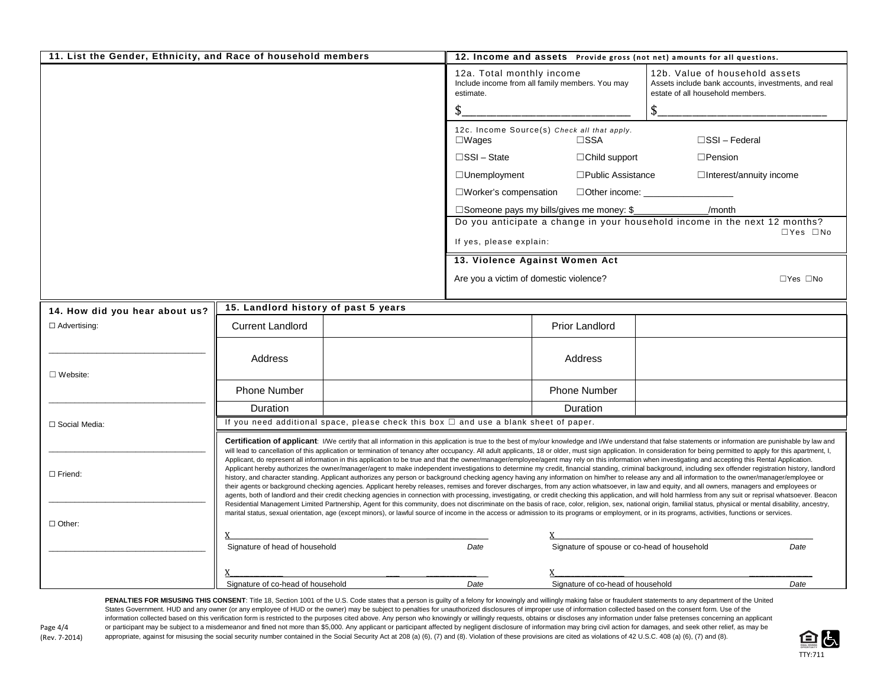| 11. List the Gender, Ethnicity, and Race of household members |                                                                                            | 12. Income and assets Provide gross (not net) amounts for all questions. |                                                                                                                                    |                                                              |                                                                                                                                                                                                                                                                                                                                                                                                                                                                                                                                                                                                                                                                                                                                                                                                                                                                                                                                                                                                                                                                                                                                                                                                                                                                                                                                                                                                                                                                                                                                                                                                                                                                                                                                                                                                                                                                                                                                      |  |  |  |
|---------------------------------------------------------------|--------------------------------------------------------------------------------------------|--------------------------------------------------------------------------|------------------------------------------------------------------------------------------------------------------------------------|--------------------------------------------------------------|--------------------------------------------------------------------------------------------------------------------------------------------------------------------------------------------------------------------------------------------------------------------------------------------------------------------------------------------------------------------------------------------------------------------------------------------------------------------------------------------------------------------------------------------------------------------------------------------------------------------------------------------------------------------------------------------------------------------------------------------------------------------------------------------------------------------------------------------------------------------------------------------------------------------------------------------------------------------------------------------------------------------------------------------------------------------------------------------------------------------------------------------------------------------------------------------------------------------------------------------------------------------------------------------------------------------------------------------------------------------------------------------------------------------------------------------------------------------------------------------------------------------------------------------------------------------------------------------------------------------------------------------------------------------------------------------------------------------------------------------------------------------------------------------------------------------------------------------------------------------------------------------------------------------------------------|--|--|--|
|                                                               |                                                                                            |                                                                          | 12a. Total monthly income<br>estimate.                                                                                             | Include income from all family members. You may              | 12b. Value of household assets<br>Assets include bank accounts, investments, and real<br>estate of all household members.                                                                                                                                                                                                                                                                                                                                                                                                                                                                                                                                                                                                                                                                                                                                                                                                                                                                                                                                                                                                                                                                                                                                                                                                                                                                                                                                                                                                                                                                                                                                                                                                                                                                                                                                                                                                            |  |  |  |
|                                                               |                                                                                            |                                                                          |                                                                                                                                    |                                                              | \$                                                                                                                                                                                                                                                                                                                                                                                                                                                                                                                                                                                                                                                                                                                                                                                                                                                                                                                                                                                                                                                                                                                                                                                                                                                                                                                                                                                                                                                                                                                                                                                                                                                                                                                                                                                                                                                                                                                                   |  |  |  |
|                                                               |                                                                                            |                                                                          | $\square$ Wages                                                                                                                    | 12c. Income Source(s) Check all that apply.<br>$\square$ SSA | $\square$ SSI – Federal                                                                                                                                                                                                                                                                                                                                                                                                                                                                                                                                                                                                                                                                                                                                                                                                                                                                                                                                                                                                                                                                                                                                                                                                                                                                                                                                                                                                                                                                                                                                                                                                                                                                                                                                                                                                                                                                                                              |  |  |  |
|                                                               |                                                                                            |                                                                          | $\square$ SSI – State                                                                                                              | $\Box$ Child support                                         | $\square$ Pension                                                                                                                                                                                                                                                                                                                                                                                                                                                                                                                                                                                                                                                                                                                                                                                                                                                                                                                                                                                                                                                                                                                                                                                                                                                                                                                                                                                                                                                                                                                                                                                                                                                                                                                                                                                                                                                                                                                    |  |  |  |
|                                                               |                                                                                            |                                                                          | $\Box$ Unemployment                                                                                                                | $\square$ Public Assistance                                  | $\Box$ Interest/annuity income                                                                                                                                                                                                                                                                                                                                                                                                                                                                                                                                                                                                                                                                                                                                                                                                                                                                                                                                                                                                                                                                                                                                                                                                                                                                                                                                                                                                                                                                                                                                                                                                                                                                                                                                                                                                                                                                                                       |  |  |  |
|                                                               |                                                                                            | $\square$ Worker's compensation                                          |                                                                                                                                    |                                                              |                                                                                                                                                                                                                                                                                                                                                                                                                                                                                                                                                                                                                                                                                                                                                                                                                                                                                                                                                                                                                                                                                                                                                                                                                                                                                                                                                                                                                                                                                                                                                                                                                                                                                                                                                                                                                                                                                                                                      |  |  |  |
|                                                               |                                                                                            |                                                                          | □ Someone pays my bills/gives me money: \$<br>/month<br>Do you anticipate a change in your household income in the next 12 months? |                                                              |                                                                                                                                                                                                                                                                                                                                                                                                                                                                                                                                                                                                                                                                                                                                                                                                                                                                                                                                                                                                                                                                                                                                                                                                                                                                                                                                                                                                                                                                                                                                                                                                                                                                                                                                                                                                                                                                                                                                      |  |  |  |
|                                                               |                                                                                            |                                                                          |                                                                                                                                    |                                                              | $\Box$ Yes $\Box$ No                                                                                                                                                                                                                                                                                                                                                                                                                                                                                                                                                                                                                                                                                                                                                                                                                                                                                                                                                                                                                                                                                                                                                                                                                                                                                                                                                                                                                                                                                                                                                                                                                                                                                                                                                                                                                                                                                                                 |  |  |  |
|                                                               |                                                                                            |                                                                          | If yes, please explain:                                                                                                            |                                                              |                                                                                                                                                                                                                                                                                                                                                                                                                                                                                                                                                                                                                                                                                                                                                                                                                                                                                                                                                                                                                                                                                                                                                                                                                                                                                                                                                                                                                                                                                                                                                                                                                                                                                                                                                                                                                                                                                                                                      |  |  |  |
|                                                               |                                                                                            |                                                                          | 13. Violence Against Women Act                                                                                                     |                                                              |                                                                                                                                                                                                                                                                                                                                                                                                                                                                                                                                                                                                                                                                                                                                                                                                                                                                                                                                                                                                                                                                                                                                                                                                                                                                                                                                                                                                                                                                                                                                                                                                                                                                                                                                                                                                                                                                                                                                      |  |  |  |
|                                                               |                                                                                            |                                                                          | Are you a victim of domestic violence?                                                                                             |                                                              | $\Box$ Yes $\Box$ No                                                                                                                                                                                                                                                                                                                                                                                                                                                                                                                                                                                                                                                                                                                                                                                                                                                                                                                                                                                                                                                                                                                                                                                                                                                                                                                                                                                                                                                                                                                                                                                                                                                                                                                                                                                                                                                                                                                 |  |  |  |
| 14. How did you hear about us?                                | 15. Landlord history of past 5 years                                                       |                                                                          |                                                                                                                                    |                                                              |                                                                                                                                                                                                                                                                                                                                                                                                                                                                                                                                                                                                                                                                                                                                                                                                                                                                                                                                                                                                                                                                                                                                                                                                                                                                                                                                                                                                                                                                                                                                                                                                                                                                                                                                                                                                                                                                                                                                      |  |  |  |
| $\Box$ Advertising:                                           | <b>Current Landlord</b>                                                                    |                                                                          |                                                                                                                                    | <b>Prior Landlord</b>                                        |                                                                                                                                                                                                                                                                                                                                                                                                                                                                                                                                                                                                                                                                                                                                                                                                                                                                                                                                                                                                                                                                                                                                                                                                                                                                                                                                                                                                                                                                                                                                                                                                                                                                                                                                                                                                                                                                                                                                      |  |  |  |
| $\Box$ Website:                                               | Address                                                                                    |                                                                          |                                                                                                                                    | Address                                                      |                                                                                                                                                                                                                                                                                                                                                                                                                                                                                                                                                                                                                                                                                                                                                                                                                                                                                                                                                                                                                                                                                                                                                                                                                                                                                                                                                                                                                                                                                                                                                                                                                                                                                                                                                                                                                                                                                                                                      |  |  |  |
|                                                               | <b>Phone Number</b>                                                                        |                                                                          |                                                                                                                                    | <b>Phone Number</b>                                          |                                                                                                                                                                                                                                                                                                                                                                                                                                                                                                                                                                                                                                                                                                                                                                                                                                                                                                                                                                                                                                                                                                                                                                                                                                                                                                                                                                                                                                                                                                                                                                                                                                                                                                                                                                                                                                                                                                                                      |  |  |  |
|                                                               | Duration                                                                                   |                                                                          |                                                                                                                                    | Duration                                                     |                                                                                                                                                                                                                                                                                                                                                                                                                                                                                                                                                                                                                                                                                                                                                                                                                                                                                                                                                                                                                                                                                                                                                                                                                                                                                                                                                                                                                                                                                                                                                                                                                                                                                                                                                                                                                                                                                                                                      |  |  |  |
| □ Social Media:                                               | If you need additional space, please check this box $\Box$ and use a blank sheet of paper. |                                                                          |                                                                                                                                    |                                                              |                                                                                                                                                                                                                                                                                                                                                                                                                                                                                                                                                                                                                                                                                                                                                                                                                                                                                                                                                                                                                                                                                                                                                                                                                                                                                                                                                                                                                                                                                                                                                                                                                                                                                                                                                                                                                                                                                                                                      |  |  |  |
| $\Box$ Friend:                                                |                                                                                            |                                                                          |                                                                                                                                    |                                                              | Certification of applicant: I/We certify that all information in this application is true to the best of my/our knowledge and I/We understand that false statements or information are punishable by law and<br>will lead to cancellation of this application or termination of tenancy after occupancy. All adult applicants, 18 or older, must sign application. In consideration for being permitted to apply for this apartment, I,<br>Applicant, do represent all information in this application to be true and that the owner/manager/employee/agent may rely on this information when investigating and accepting this Rental Application.<br>Applicant hereby authorizes the owner/manager/agent to make independent investigations to determine my credit, financial standing, criminal background, including sex offender registration history, landlord<br>history, and character standing. Applicant authorizes any person or background checking agency having any information on him/her to release any and all information to the owner/manager/employee or<br>their agents or background checking agencies. Applicant hereby releases, remises and forever discharges, from any action whatsoever, in law and equity, and all owners, managers and employees or<br>agents, both of landlord and their credit checking agencies in connection with processing, investigating, or credit checking this application, and will hold harmless from any suit or reprisal whatsoever. Beacon<br>Residential Management Limited Partnership, Agent for this community, does not discriminate on the basis of race, color, religion, sex, national origin, familial status, physical or mental disability, ancestry,<br>marital status, sexual orientation, age (except minors), or lawful source of income in the access or admission to its programs or employment, or in its programs, activities, functions or services. |  |  |  |
| $\Box$ Other:                                                 |                                                                                            |                                                                          |                                                                                                                                    |                                                              |                                                                                                                                                                                                                                                                                                                                                                                                                                                                                                                                                                                                                                                                                                                                                                                                                                                                                                                                                                                                                                                                                                                                                                                                                                                                                                                                                                                                                                                                                                                                                                                                                                                                                                                                                                                                                                                                                                                                      |  |  |  |
|                                                               | Signature of head of household                                                             |                                                                          | Date                                                                                                                               | Signature of spouse or co-head of household                  | Date                                                                                                                                                                                                                                                                                                                                                                                                                                                                                                                                                                                                                                                                                                                                                                                                                                                                                                                                                                                                                                                                                                                                                                                                                                                                                                                                                                                                                                                                                                                                                                                                                                                                                                                                                                                                                                                                                                                                 |  |  |  |
|                                                               |                                                                                            |                                                                          |                                                                                                                                    |                                                              |                                                                                                                                                                                                                                                                                                                                                                                                                                                                                                                                                                                                                                                                                                                                                                                                                                                                                                                                                                                                                                                                                                                                                                                                                                                                                                                                                                                                                                                                                                                                                                                                                                                                                                                                                                                                                                                                                                                                      |  |  |  |
|                                                               | Signature of co-head of household                                                          |                                                                          | Date                                                                                                                               | Signature of co-head of household                            | Date                                                                                                                                                                                                                                                                                                                                                                                                                                                                                                                                                                                                                                                                                                                                                                                                                                                                                                                                                                                                                                                                                                                                                                                                                                                                                                                                                                                                                                                                                                                                                                                                                                                                                                                                                                                                                                                                                                                                 |  |  |  |

PENALTIES FOR MISUSING THIS CONSENT: Title 18, Section 1001 of the U.S. Code states that a person is guilty of a felony for knowingly and willingly making false or fraudulent statements to any department of the United States Government. HUD and any owner (or any employee of HUD or the owner) may be subject to penalties for unauthorized disclosures of improper use of information collected based on the consent form. Use of the information collected based on this verification form is restricted to the purposes cited above. Any person who knowingly or willingly requests, obtains or discloses any information under false pretenses concerning an appl Page 4/4 or participant may be subject to a misdemeanor and fined not more than \$5,000. Any applicant or participant affected by negligent disclosure of information may bring civil action for damages, and seek other relief appropriate, against for misusing the social security number contained in the Social Security Act at 208 (a) (6), (7) and (8). Violation of these provisions are cited as violations of 42 U.S.C. 408 (a) (6), (7) and (8).

(Rev. 7-2014)